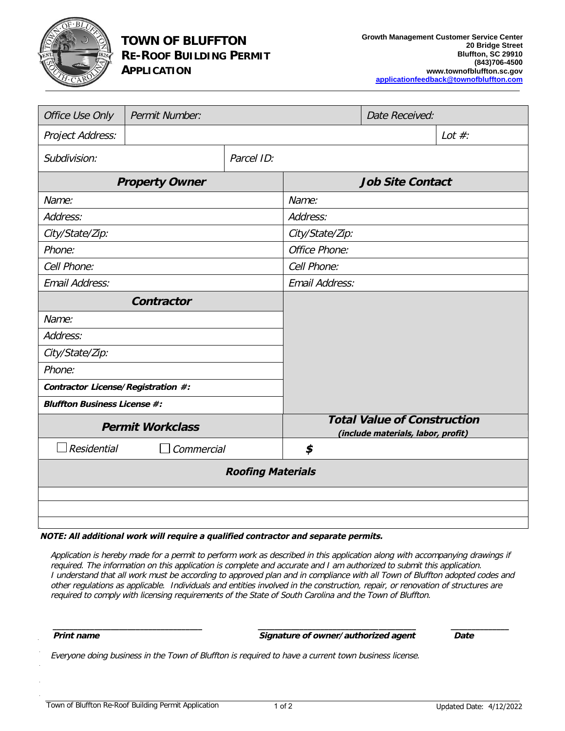

## **TOWN OF BLUFFTON RE-ROOF BUILDING PERMIT APPLICATION**

| <b>Office Use Only</b>              | <b>Permit Number:</b> |            |                                                                          | <b>Date Received:</b> |           |
|-------------------------------------|-----------------------|------------|--------------------------------------------------------------------------|-----------------------|-----------|
| <b>Project Address:</b>             |                       |            |                                                                          |                       | Lot $#$ : |
| Subdivision:                        |                       | Parcel ID: |                                                                          |                       |           |
| <b>Property Owner</b>               |                       |            | <b>Job Site Contact</b>                                                  |                       |           |
| Name:                               |                       |            | Name:                                                                    |                       |           |
| Address:                            |                       |            | Address:                                                                 |                       |           |
| City/State/Zip:                     |                       |            | City/State/Zip:                                                          |                       |           |
| Phone:                              |                       |            | <b>Office Phone:</b>                                                     |                       |           |
| Cell Phone:                         |                       |            | Cell Phone:                                                              |                       |           |
| <b>Email Address:</b>               |                       |            | <b>Email Address:</b>                                                    |                       |           |
| Contractor                          |                       |            |                                                                          |                       |           |
| Name:                               |                       |            |                                                                          |                       |           |
| Address:                            |                       |            |                                                                          |                       |           |
| City/State/Zip:                     |                       |            |                                                                          |                       |           |
| Phone:                              |                       |            |                                                                          |                       |           |
| Contractor License/Registration #:  |                       |            |                                                                          |                       |           |
| <b>Bluffton Business License #:</b> |                       |            |                                                                          |                       |           |
| <b>Permit Workclass</b>             |                       |            | <b>Total Value of Construction</b><br>(include materials, labor, profit) |                       |           |
| <b>Residential</b>                  | Commercial            |            | \$                                                                       |                       |           |
| <b>Roofing Materials</b>            |                       |            |                                                                          |                       |           |
|                                     |                       |            |                                                                          |                       |           |
|                                     |                       |            |                                                                          |                       |           |
|                                     |                       |            |                                                                          |                       |           |

## **NOTE: All additional work will require <sup>a</sup> qualified contractor and separate permit<sup>s</sup>.**

Application is hereby made for <sup>a</sup> permit to perform work as described in this application along with accompanying drawings if required. The information on this application is complete and accurate and I am authorized to submit this application. I understand that all work must be according to approved plan and in compliance with all Town of Bluffton adopted codes and other regulations as applicable. Individuals and entities involved in the construction, repair, or renovation of structures are required to comply with licensing requirements of the State of South Carolina and the Town of Bluffton.

*\_\_\_\_\_\_\_\_\_\_\_\_\_\_\_\_\_\_\_\_\_\_\_\_\_\_\_\_\_\_\_\_\_\_\_\_ \_\_\_\_\_\_\_\_\_\_\_\_\_\_\_\_\_\_\_\_\_\_\_\_\_\_\_\_\_\_\_\_\_\_\_\_\_\_ \_\_\_\_\_\_\_\_\_\_\_\_\_\_*

**Print name Signature of owner/authorized agent Date**

Everyone doing business in the Town of Bluffton is required to have a current town business license.